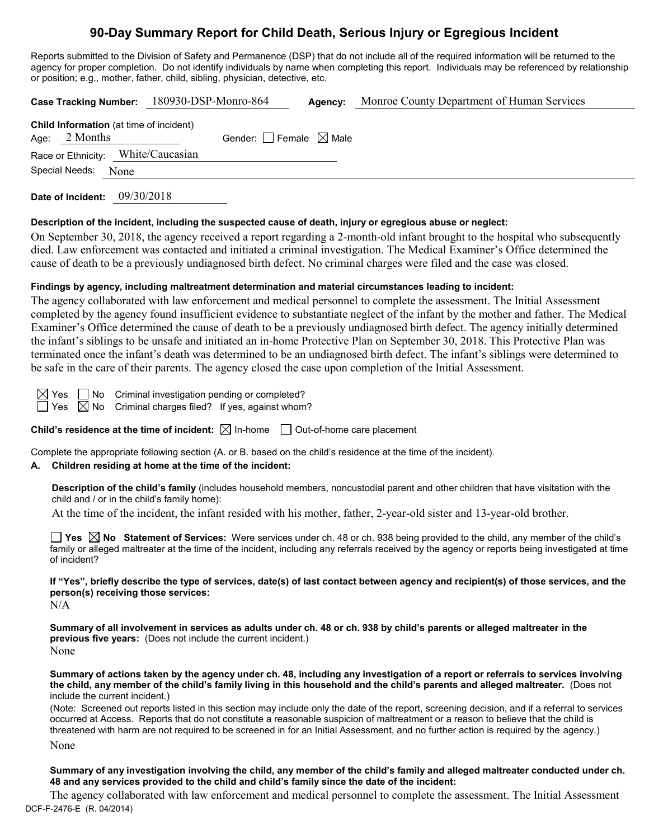# **90-Day Summary Report for Child Death, Serious Injury or Egregious Incident**

Reports submitted to the Division of Safety and Permanence (DSP) that do not include all of the required information will be returned to the agency for proper completion. Do not identify individuals by name when completing this report. Individuals may be referenced by relationship or position; e.g., mother, father, child, sibling, physician, detective, etc.

|  |                     |  | Case Tracking Number: 180930-DSP-Monro-864     |                                 | Agency: | Monroe County Department of Human Services |
|--|---------------------|--|------------------------------------------------|---------------------------------|---------|--------------------------------------------|
|  | Age: $2$ Months     |  | <b>Child Information</b> (at time of incident) | Gender: Female $\boxtimes$ Male |         |                                            |
|  |                     |  | Race or Ethnicity: White/Caucasian             |                                 |         |                                            |
|  | Special Needs: None |  |                                                |                                 |         |                                            |
|  |                     |  |                                                |                                 |         |                                            |

**Date of Incident:** 09/30/2018

#### **Description of the incident, including the suspected cause of death, injury or egregious abuse or neglect:**

On September 30, 2018, the agency received a report regarding a 2-month-old infant brought to the hospital who subsequently died. Law enforcement was contacted and initiated a criminal investigation. The Medical Examiner's Office determined the cause of death to be a previously undiagnosed birth defect. No criminal charges were filed and the case was closed.

### **Findings by agency, including maltreatment determination and material circumstances leading to incident:**

The agency collaborated with law enforcement and medical personnel to complete the assessment. The Initial Assessment completed by the agency found insufficient evidence to substantiate neglect of the infant by the mother and father. The Medical Examiner's Office determined the cause of death to be a previously undiagnosed birth defect. The agency initially determined the infant's siblings to be unsafe and initiated an in-home Protective Plan on September 30, 2018. This Protective Plan was terminated once the infant's death was determined to be an undiagnosed birth defect. The infant's siblings were determined to be safe in the care of their parents. The agency closed the case upon completion of the Initial Assessment.

 $\boxtimes$  Yes  $\Box$  No Criminal investigation pending or completed?

 $\Box$  Yes  $\boxtimes$  No Criminal charges filed? If yes, against whom?

**Child's residence at the time of incident:**  $\boxtimes$  In-home  $\Box$  Out-of-home care placement

Complete the appropriate following section (A. or B. based on the child's residence at the time of the incident).

# **A. Children residing at home at the time of the incident:**

**Description of the child's family** (includes household members, noncustodial parent and other children that have visitation with the child and / or in the child's family home):

At the time of the incident, the infant resided with his mother, father, 2-year-old sister and 13-year-old brother.

**Yes No Statement of Services:** Were services under ch. 48 or ch. 938 being provided to the child, any member of the child's family or alleged maltreater at the time of the incident, including any referrals received by the agency or reports being investigated at time of incident?

**If "Yes", briefly describe the type of services, date(s) of last contact between agency and recipient(s) of those services, and the person(s) receiving those services:**

 $N/A$ 

**Summary of all involvement in services as adults under ch. 48 or ch. 938 by child's parents or alleged maltreater in the previous five years:** (Does not include the current incident.) None

**Summary of actions taken by the agency under ch. 48, including any investigation of a report or referrals to services involving the child, any member of the child's family living in this household and the child's parents and alleged maltreater.** (Does not include the current incident.)

(Note: Screened out reports listed in this section may include only the date of the report, screening decision, and if a referral to services occurred at Access. Reports that do not constitute a reasonable suspicion of maltreatment or a reason to believe that the child is threatened with harm are not required to be screened in for an Initial Assessment, and no further action is required by the agency.)

None

**Summary of any investigation involving the child, any member of the child's family and alleged maltreater conducted under ch. 48 and any services provided to the child and child's family since the date of the incident:**

DCF-F-2476-E (R. 04/2014) The agency collaborated with law enforcement and medical personnel to complete the assessment. The Initial Assessment